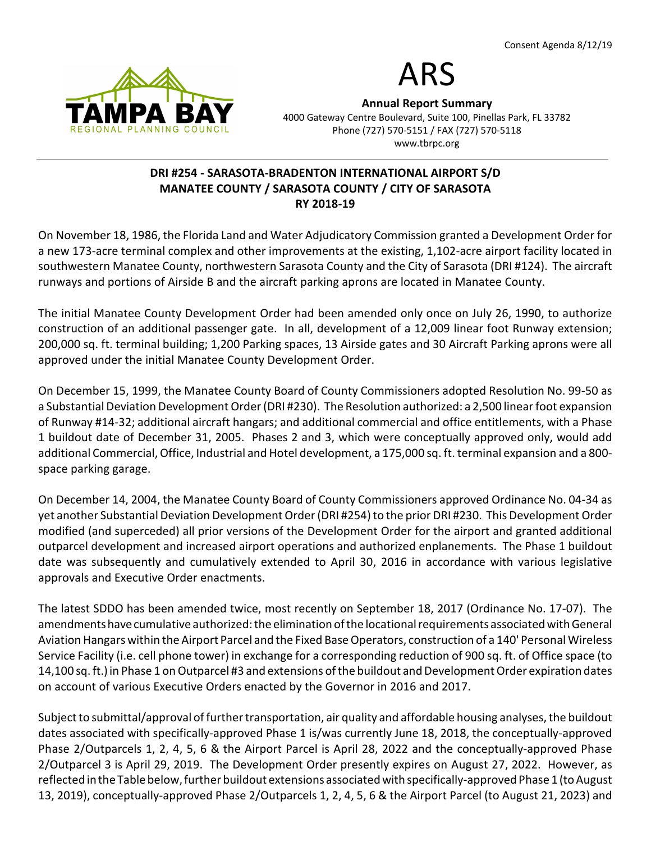



Annual Report Summary 4000 Gateway Centre Boulevard, Suite 100, Pinellas Park, FL 33782 Phone (727) 570-5151 / FAX (727) 570-5118 www.tbrpc.org

# DRI #254 - SARASOTA-BRADENTON INTERNATIONAL AIRPORT S/D MANATEE COUNTY / SARASOTA COUNTY / CITY OF SARASOTA RY 2018-19

On November 18, 1986, the Florida Land and Water Adjudicatory Commission granted a Development Order for a new 173-acre terminal complex and other improvements at the existing, 1,102-acre airport facility located in southwestern Manatee County, northwestern Sarasota County and the City of Sarasota (DRI #124). The aircraft runways and portions of Airside B and the aircraft parking aprons are located in Manatee County.

The initial Manatee County Development Order had been amended only once on July 26, 1990, to authorize construction of an additional passenger gate. In all, development of a 12,009 linear foot Runway extension; 200,000 sq. ft. terminal building; 1,200 Parking spaces, 13 Airside gates and 30 Aircraft Parking aprons were all approved under the initial Manatee County Development Order.

On December 15, 1999, the Manatee County Board of County Commissioners adopted Resolution No. 99-50 as a Substantial Deviation Development Order (DRI #230). The Resolution authorized: a 2,500 linear foot expansion of Runway #14-32; additional aircraft hangars; and additional commercial and office entitlements, with a Phase 1 buildout date of December 31, 2005. Phases 2 and 3, which were conceptually approved only, would add additional Commercial, Office, Industrial and Hotel development, a 175,000 sq. ft. terminal expansion and a 800 space parking garage.

On December 14, 2004, the Manatee County Board of County Commissioners approved Ordinance No. 04-34 as yet another Substantial Deviation Development Order (DRI #254) to the prior DRI #230. This Development Order modified (and superceded) all prior versions of the Development Order for the airport and granted additional outparcel development and increased airport operations and authorized enplanements. The Phase 1 buildout date was subsequently and cumulatively extended to April 30, 2016 in accordance with various legislative approvals and Executive Order enactments.

The latest SDDO has been amended twice, most recently on September 18, 2017 (Ordinance No. 17-07). The amendments have cumulative authorized: the elimination of the locational requirements associated with General Aviation Hangars within the Airport Parcel and the Fixed Base Operators, construction of a 140' Personal Wireless Service Facility (i.e. cell phone tower) in exchange for a corresponding reduction of 900 sq. ft. of Office space (to 14,100 sq. ft.) in Phase 1 on Outparcel #3 and extensions of the buildout and Development Order expiration dates on account of various Executive Orders enacted by the Governor in 2016 and 2017.

Subject to submittal/approval of further transportation, air quality and affordable housing analyses, the buildout dates associated with specifically-approved Phase 1 is/was currently June 18, 2018, the conceptually-approved Phase 2/Outparcels 1, 2, 4, 5, 6 & the Airport Parcel is April 28, 2022 and the conceptually-approved Phase 2/Outparcel 3 is April 29, 2019. The Development Order presently expires on August 27, 2022. However, as reflected in the Table below, further buildout extensions associated with specifically-approved Phase 1 (to August 13, 2019), conceptually-approved Phase 2/Outparcels 1, 2, 4, 5, 6 & the Airport Parcel (to August 21, 2023) and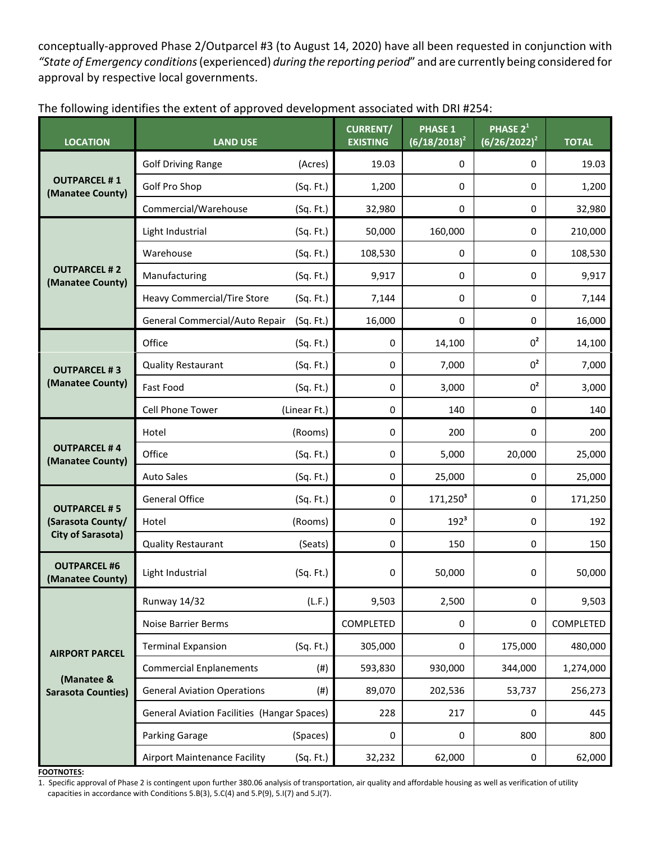conceptually-approved Phase 2/Outparcel #3 (to August 14, 2020) have all been requested in conjunction with "State of Emergency conditions (experienced) during the reporting period" and are currently being considered for approval by respective local governments.

| The following identifies the extent of approved development associated with DRI #254: |
|---------------------------------------------------------------------------------------|
|---------------------------------------------------------------------------------------|

| <b>LOCATION</b>                                                      | <b>LAND USE</b>                                    |              | <b>CURRENT/</b><br><b>EXISTING</b> | <b>PHASE 1</b><br>$(6/18/2018)^2$ | PHASE 2 <sup>1</sup><br>$(6/26/2022)^2$ | <b>TOTAL</b> |
|----------------------------------------------------------------------|----------------------------------------------------|--------------|------------------------------------|-----------------------------------|-----------------------------------------|--------------|
| <b>OUTPARCEL #1</b><br>(Manatee County)                              | <b>Golf Driving Range</b>                          | (Acres)      | 19.03                              | 0                                 | 0                                       | 19.03        |
|                                                                      | Golf Pro Shop                                      | (Sq. Ft.)    | 1,200                              | 0                                 | 0                                       | 1,200        |
|                                                                      | Commercial/Warehouse                               | (Sq. Ft.)    | 32,980                             | 0                                 | 0                                       | 32,980       |
|                                                                      | Light Industrial                                   | (Sq. Ft.)    | 50,000                             | 160,000                           | 0                                       | 210,000      |
|                                                                      | Warehouse                                          | (Sq. Ft.)    | 108,530                            | 0                                 | 0                                       | 108,530      |
| <b>OUTPARCEL #2</b><br>(Manatee County)                              | Manufacturing                                      | (Sq. Ft.)    | 9,917                              | 0                                 | 0                                       | 9,917        |
|                                                                      | <b>Heavy Commercial/Tire Store</b>                 | (Sq. Ft.)    | 7,144                              | 0                                 | 0                                       | 7,144        |
|                                                                      | General Commercial/Auto Repair                     | (Sq. Ft.)    | 16,000                             | 0                                 | 0                                       | 16,000       |
|                                                                      | Office                                             | (Sq. Ft.)    | 0                                  | 14,100                            | 0 <sup>2</sup>                          | 14,100       |
| <b>OUTPARCEL #3</b>                                                  | <b>Quality Restaurant</b>                          | (Sq. Ft.)    | 0                                  | 7,000                             | 0 <sup>2</sup>                          | 7,000        |
| (Manatee County)                                                     | Fast Food                                          | (Sq. Ft.)    | 0                                  | 3,000                             | $0^2$                                   | 3,000        |
|                                                                      | Cell Phone Tower                                   | (Linear Ft.) | 0                                  | 140                               | 0                                       | 140          |
| <b>OUTPARCEL #4</b><br>(Manatee County)                              | Hotel                                              | (Rooms)      | 0                                  | 200                               | 0                                       | 200          |
|                                                                      | Office                                             | (Sq. Ft.)    | 0                                  | 5,000                             | 20,000                                  | 25,000       |
|                                                                      | <b>Auto Sales</b>                                  | (Sq. Ft.)    | 0                                  | 25,000                            | 0                                       | 25,000       |
| <b>OUTPARCEL #5</b><br>(Sarasota County/<br><b>City of Sarasota)</b> | <b>General Office</b>                              | (Sq. Ft.)    | 0                                  | $171,250^3$                       | 0                                       | 171,250      |
|                                                                      | Hotel                                              | (Rooms)      | 0                                  | $192^3$                           | 0                                       | 192          |
|                                                                      | <b>Quality Restaurant</b>                          | (Seats)      | 0                                  | 150                               | 0                                       | 150          |
| <b>OUTPARCEL #6</b><br>(Manatee County)                              | Light Industrial                                   | (Sq. Ft.)    | 0                                  | 50,000                            | 0                                       | 50,000       |
|                                                                      | <b>Runway 14/32</b>                                | (L.F.)       | 9,503                              | 2,500                             | 0                                       | 9,503        |
|                                                                      | <b>Noise Barrier Berms</b>                         |              | COMPLETED                          | 0                                 | 0                                       | COMPLETED    |
| <b>AIRPORT PARCEL</b>                                                | <b>Terminal Expansion</b>                          | (Sq. Ft.)    | 305,000                            | 0                                 | 175,000                                 | 480,000      |
|                                                                      | <b>Commercial Enplanements</b>                     | (#)          | 593,830                            | 930,000                           | 344,000                                 | 1,274,000    |
| (Manatee &<br><b>Sarasota Counties)</b>                              | <b>General Aviation Operations</b>                 | (# )         | 89,070                             | 202,536                           | 53,737                                  | 256,273      |
|                                                                      | <b>General Aviation Facilities (Hangar Spaces)</b> |              | 228                                | 217                               | 0                                       | 445          |
|                                                                      | Parking Garage                                     | (Spaces)     | $\pmb{0}$                          | 0                                 | 800                                     | 800          |
|                                                                      | <b>Airport Maintenance Facility</b>                | (Sq. Ft.)    | 32,232                             | 62,000                            | $\pmb{0}$                               | 62,000       |

FOOTNOTES:

1. Specific approval of Phase 2 is contingent upon further 380.06 analysis of transportation, air quality and affordable housing as well as verification of utility capacities in accordance with Conditions 5.B(3), 5.C(4) and 5.P(9), 5.I(7) and 5.J(7).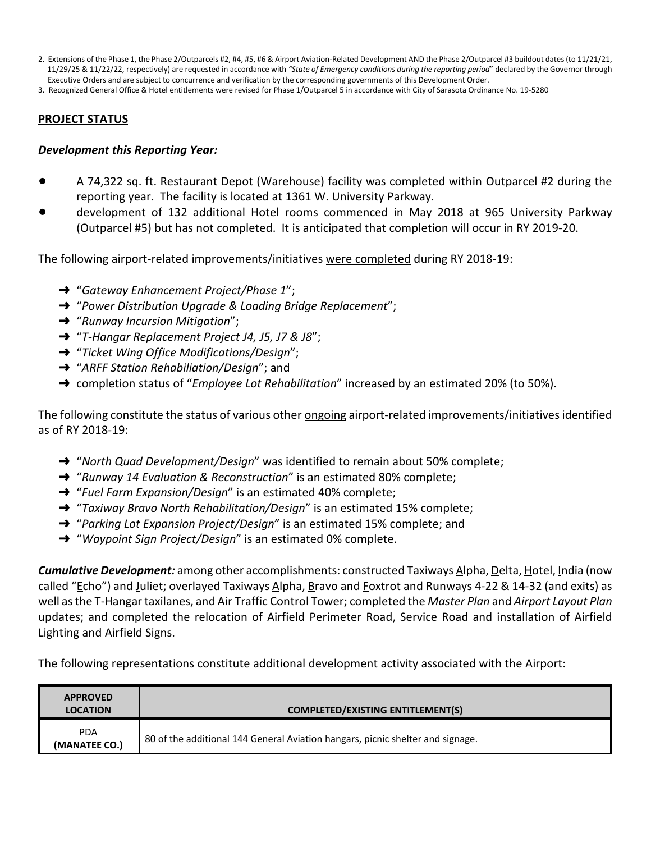2. Extensions of the Phase 1, the Phase 2/Outparcels #2, #4, #5, #6 & Airport Aviation-Related Development AND the Phase 2/Outparcel #3 buildout dates (to 11/21/21, 11/29/25 & 11/22/22, respectively) are requested in accordance with "State of Emergency conditions during the reporting period" declared by the Governor through Executive Orders and are subject to concurrence and verification by the corresponding governments of this Development Order.

3. Recognized General Office & Hotel entitlements were revised for Phase 1/Outparcel 5 in accordance with City of Sarasota Ordinance No. 19-5280

#### PROJECT STATUS

#### Development this Reporting Year:

- ! A 74,322 sq. ft. Restaurant Depot (Warehouse) facility was completed within Outparcel #2 during the reporting year. The facility is located at 1361 W. University Parkway.
- ! development of 132 additional Hotel rooms commenced in May 2018 at 965 University Parkway (Outparcel #5) but has not completed. It is anticipated that completion will occur in RY 2019-20.

The following airport-related improvements/initiatives were completed during RY 2018-19:

- $\rightarrow$  "Gateway Enhancement Project/Phase 1";
- $\rightarrow$  "Power Distribution Upgrade & Loading Bridge Replacement";
- $\rightarrow$  "Runway Incursion Mitigation";
- → "T-Hangar Replacement Project J4, J5, J7 & J8";
- $\rightarrow$  "Ticket Wing Office Modifications/Design";
- $\rightarrow$  "ARFF Station Rehabiliation/Design"; and
- → completion status of "*Employee Lot Rehabilitation*" increased by an estimated 20% (to 50%).

The following constitute the status of various other ongoing airport-related improvements/initiatives identified as of RY 2018-19:

- "North Quad Development/Design" was identified to remain about 50% complete;
- $\rightarrow$  "Runway 14 Evaluation & Reconstruction" is an estimated 80% complete;
- $\rightarrow$  "Fuel Farm Expansion/Design" is an estimated 40% complete;
- $\rightarrow$  "Taxiway Bravo North Rehabilitation/Design" is an estimated 15% complete;
- $\rightarrow$  "Parking Lot Expansion Project/Design" is an estimated 15% complete; and
- $\rightarrow$  "Waypoint Sign Project/Design" is an estimated 0% complete.

**Cumulative Development:** among other accomplishments: constructed Taxiways Alpha, Delta, Hotel, India (now called "Echo") and Juliet; overlayed Taxiways Alpha, Bravo and Foxtrot and Runways 4-22 & 14-32 (and exits) as well as the T-Hangar taxilanes, and Air Traffic Control Tower; completed the Master Plan and Airport Layout Plan updates; and completed the relocation of Airfield Perimeter Road, Service Road and installation of Airfield Lighting and Airfield Signs.

The following representations constitute additional development activity associated with the Airport:

| <b>APPROVED</b><br><b>LOCATION</b> | <b>COMPLETED/EXISTING ENTITLEMENT(S)</b>                                       |
|------------------------------------|--------------------------------------------------------------------------------|
| <b>PDA</b><br>(MANATEE CO.)        | 80 of the additional 144 General Aviation hangars, picnic shelter and signage. |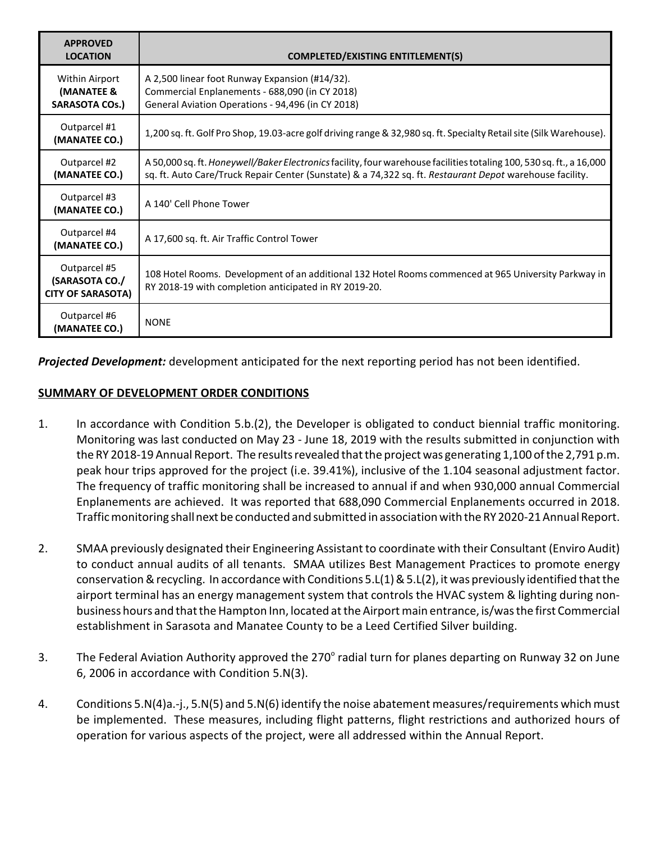| <b>APPROVED</b><br><b>LOCATION</b>                         | <b>COMPLETED/EXISTING ENTITLEMENT(S)</b>                                                                                                                                                                                         |  |
|------------------------------------------------------------|----------------------------------------------------------------------------------------------------------------------------------------------------------------------------------------------------------------------------------|--|
| Within Airport<br>(MANATEE &<br><b>SARASOTA COs.)</b>      | A 2,500 linear foot Runway Expansion (#14/32).<br>Commercial Enplanements - 688,090 (in CY 2018)<br>General Aviation Operations - 94,496 (in CY 2018)                                                                            |  |
| Outparcel #1<br>(MANATEE CO.)                              | 1,200 sq. ft. Golf Pro Shop, 19.03-acre golf driving range & 32,980 sq. ft. Specialty Retail site (Silk Warehouse).                                                                                                              |  |
| Outparcel #2<br>(MANATEE CO.)                              | A 50,000 sq. ft. Honeywell/Baker Electronics facility, four warehouse facilities totaling 100, 530 sq. ft., a 16,000<br>sq. ft. Auto Care/Truck Repair Center (Sunstate) & a 74,322 sq. ft. Restaurant Depot warehouse facility. |  |
| Outparcel #3<br>(MANATEE CO.)                              | A 140' Cell Phone Tower                                                                                                                                                                                                          |  |
| Outparcel #4<br>(MANATEE CO.)                              | A 17,600 sq. ft. Air Traffic Control Tower                                                                                                                                                                                       |  |
| Outparcel #5<br>(SARASOTA CO./<br><b>CITY OF SARASOTA)</b> | 108 Hotel Rooms. Development of an additional 132 Hotel Rooms commenced at 965 University Parkway in<br>RY 2018-19 with completion anticipated in RY 2019-20.                                                                    |  |
| Outparcel #6<br>(MANATEE CO.)                              | <b>NONE</b>                                                                                                                                                                                                                      |  |

Projected Development: development anticipated for the next reporting period has not been identified.

## SUMMARY OF DEVELOPMENT ORDER CONDITIONS

- 1. In accordance with Condition 5.b.(2), the Developer is obligated to conduct biennial traffic monitoring. Monitoring was last conducted on May 23 - June 18, 2019 with the results submitted in conjunction with the RY 2018-19 Annual Report. The results revealed that the project was generating 1,100 of the 2,791 p.m. peak hour trips approved for the project (i.e. 39.41%), inclusive of the 1.104 seasonal adjustment factor. The frequency of traffic monitoring shall be increased to annual if and when 930,000 annual Commercial Enplanements are achieved. It was reported that 688,090 Commercial Enplanements occurred in 2018. Traffic monitoring shall next be conducted and submitted in association with the RY 2020-21 Annual Report.
- 2. SMAA previously designated their Engineering Assistant to coordinate with their Consultant (Enviro Audit) to conduct annual audits of all tenants. SMAA utilizes Best Management Practices to promote energy conservation & recycling. In accordance with Conditions 5.L(1) & 5.L(2), it was previously identified that the airport terminal has an energy management system that controls the HVAC system & lighting during nonbusiness hours and that the Hampton Inn, located at the Airport main entrance, is/was the first Commercial establishment in Sarasota and Manatee County to be a Leed Certified Silver building.
- 3. The Federal Aviation Authority approved the 270 $^{\circ}$  radial turn for planes departing on Runway 32 on June 6, 2006 in accordance with Condition 5.N(3).
- 4. Conditions 5.N(4)a.-j., 5.N(5) and 5.N(6) identify the noise abatement measures/requirements which must be implemented. These measures, including flight patterns, flight restrictions and authorized hours of operation for various aspects of the project, were all addressed within the Annual Report.